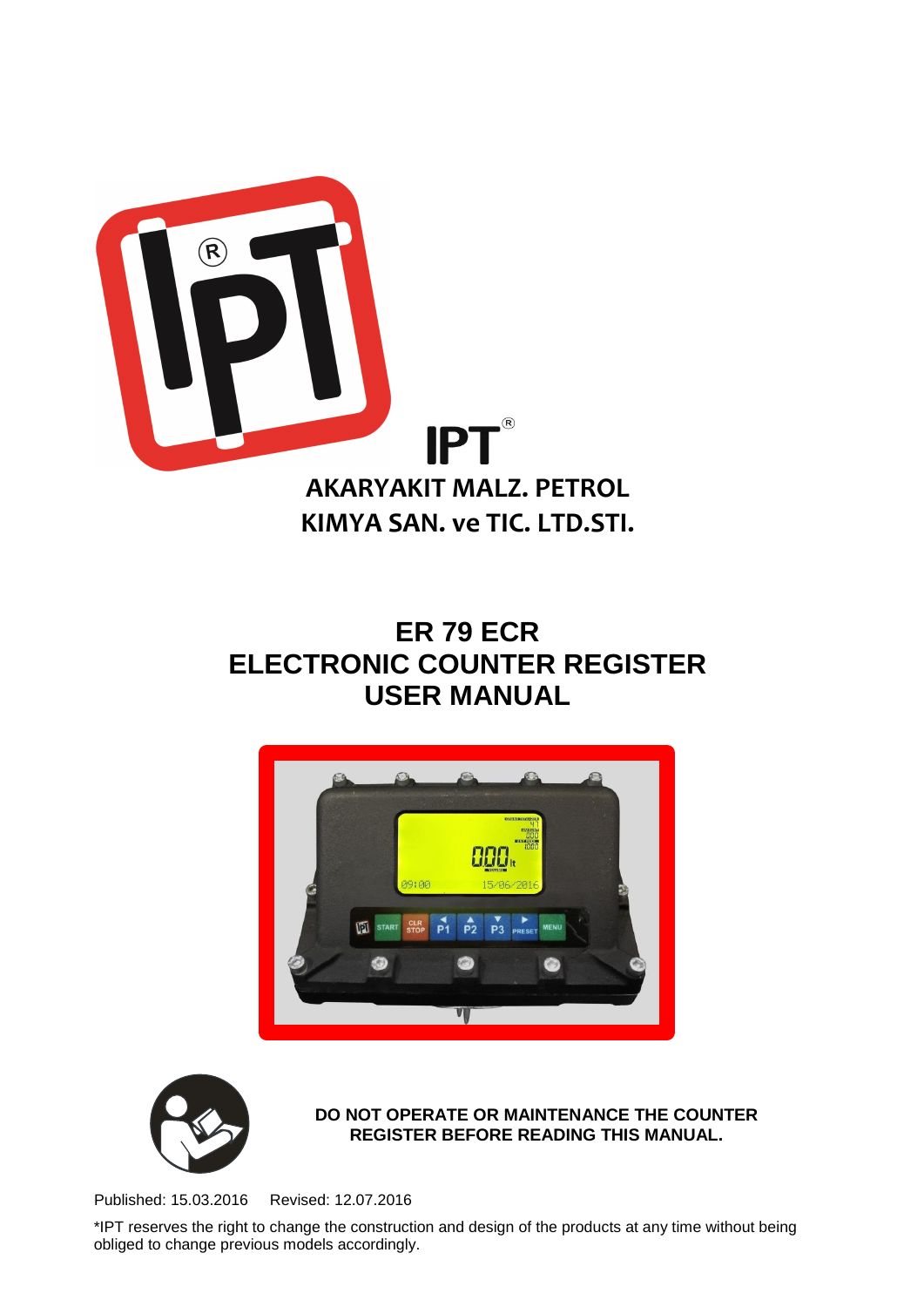

# **ER 79 ECR ELECTRONIC COUNTER REGISTER USER MANUAL**





**DO NOT OPERATE OR MAINTENANCE THE COUNTER REGISTER BEFORE READING THIS MANUAL.**

Published: 15.03.2016 Revised: 12.07.2016

\*IPT reserves the right to change the construction and design of the products at any time without being obliged to change previous models accordingly.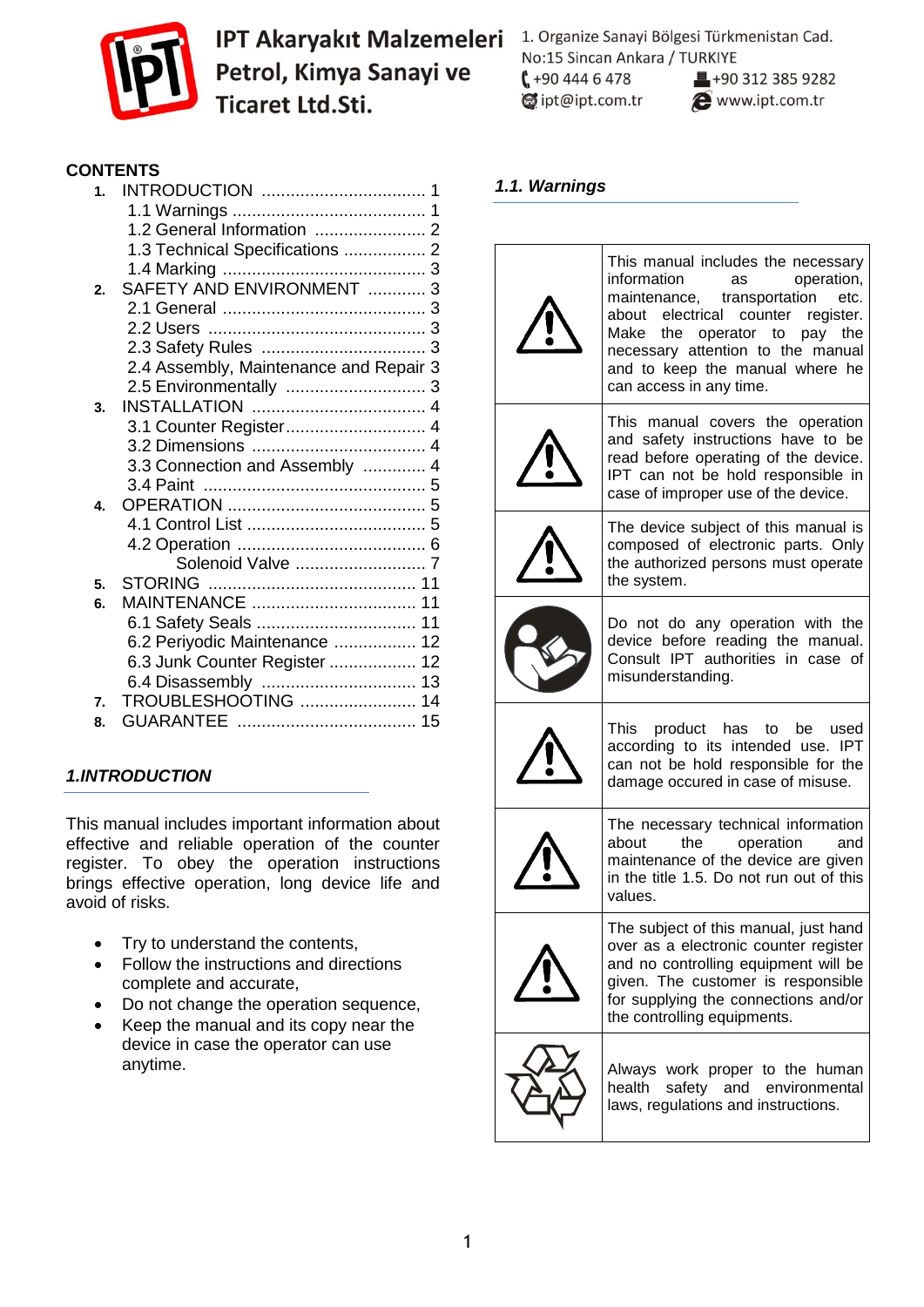

1. Organize Sanayi Bölgesi Türkmenistan Cad. No:15 Sincan Ankara / TURKIYE  $1+904446478$  $\blacksquare$ +90 312 385 9282  $\otimes$  ipt@ipt.com.tr www.ipt.com.tr

### **CONTENTS**

| SAFETY AND ENVIRONMENT  3      |                                                                                                     |
|--------------------------------|-----------------------------------------------------------------------------------------------------|
|                                |                                                                                                     |
|                                |                                                                                                     |
|                                |                                                                                                     |
|                                |                                                                                                     |
|                                |                                                                                                     |
|                                |                                                                                                     |
|                                |                                                                                                     |
|                                |                                                                                                     |
| 3.3 Connection and Assembly  4 |                                                                                                     |
|                                |                                                                                                     |
|                                |                                                                                                     |
|                                |                                                                                                     |
|                                |                                                                                                     |
| Solenoid Valve  7              |                                                                                                     |
|                                |                                                                                                     |
| MAINTENANCE  11                |                                                                                                     |
| 6.1 Safety Seals  11           |                                                                                                     |
| 6.2 Periyodic Maintenance  12  |                                                                                                     |
| 6.3 Junk Counter Register  12  |                                                                                                     |
|                                |                                                                                                     |
| TROUBLESHOOTING  14            |                                                                                                     |
|                                |                                                                                                     |
|                                | 1.3 Technical Specifications  2<br>2.4 Assembly, Maintenance and Repair 3<br>3.1 Counter Register 4 |

# *1.INTRODUCTION*

This manual includes important information about effective and reliable operation of the counter register. To obey the operation instructions brings effective operation, long device life and avoid of risks.

- Try to understand the contents.
- Follow the instructions and directions complete and accurate,
- Do not change the operation sequence,
- Keep the manual and its copy near the device in case the operator can use anytime.

#### *1.1. Warnings*

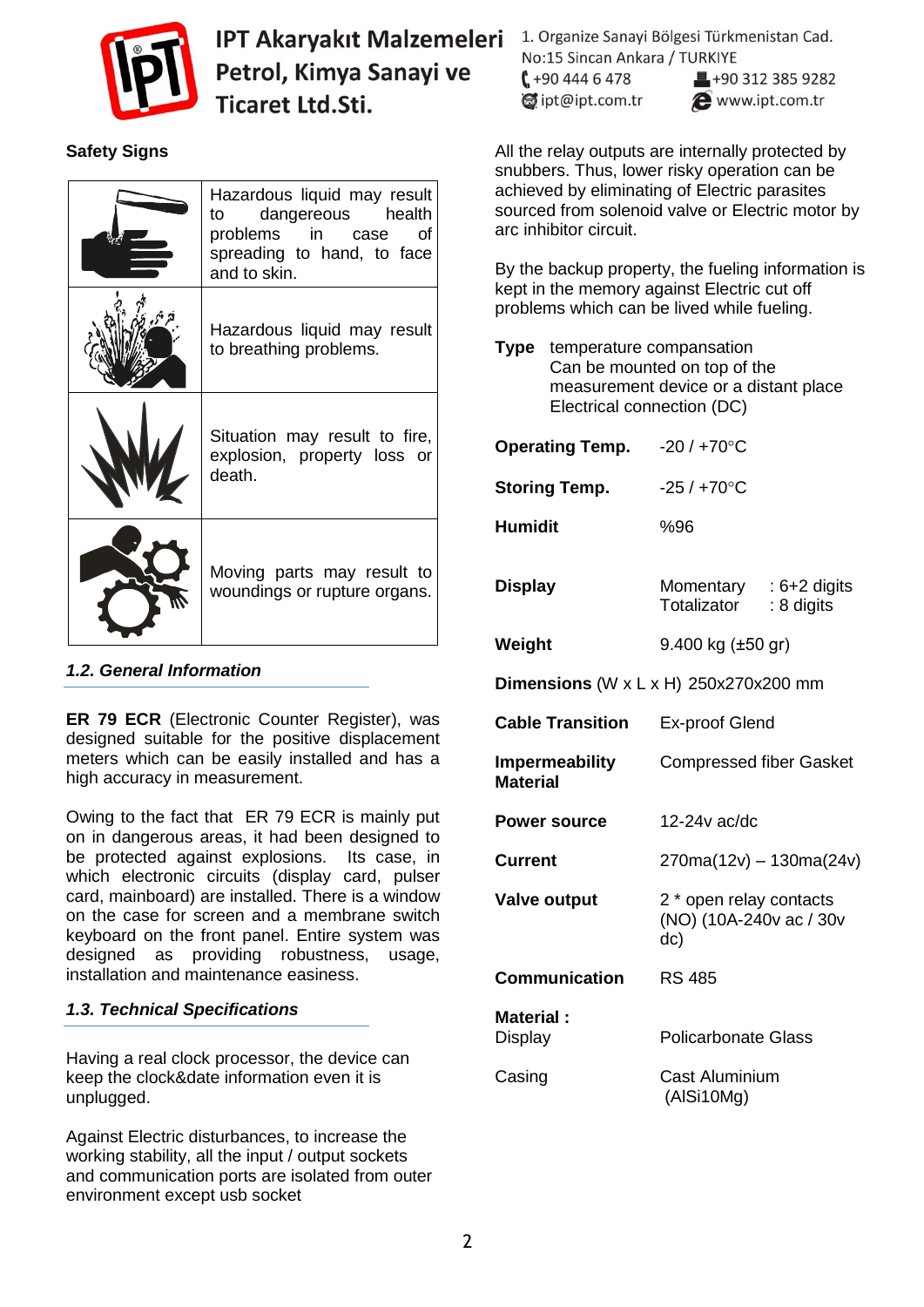

# **Safety Signs**

| Hazardous liquid may result<br>to dangereous health<br>problems in case of<br>spreading to hand, to face<br>and to skin. |
|--------------------------------------------------------------------------------------------------------------------------|
| Hazardous liquid may result<br>to breathing problems.                                                                    |
| Situation may result to fire,<br>explosion, property loss or<br>death.                                                   |
| Moving parts may result to<br>woundings or rupture organs.                                                               |

#### *1.2. General Information*

**ER 79 ECR** (Electronic Counter Register), was designed suitable for the positive displacement meters which can be easily installed and has a high accuracy in measurement.

Owing to the fact that ER 79 ECR is mainly put on in dangerous areas, it had been designed to be protected against explosions. Its case, in which electronic circuits (display card, pulser card, mainboard) are installed. There is a window on the case for screen and a membrane switch keyboard on the front panel. Entire system was designed as providing robustness, usage, installation and maintenance easiness.

#### *1.3. Technical Specifications*

Having a real clock processor, the device can keep the clock&date information even it is unplugged.

Against Electric disturbances, to increase the working stability, all the input / output sockets and communication ports are isolated from outer environment except usb socket

1. Organize Sanayi Bölgesi Türkmenistan Cad. No:15 Sincan Ankara / TURKIYE  $1 + 904446478$ ■+90 312 385 9282

dipt@ipt.com.tr

www.ipt.com.tr

All the relay outputs are internally protected by snubbers. Thus, lower risky operation can be achieved by eliminating of Electric parasites sourced from solenoid valve or Electric motor by arc inhibitor circuit.

By the backup property, the fueling information is kept in the memory against Electric cut off problems which can be lived while fueling.

| Type                                      | temperature compansation<br>Can be mounted on top of the<br>measurement device or a distant place<br>Electrical connection (DC) |                                                           |            |  |  |
|-------------------------------------------|---------------------------------------------------------------------------------------------------------------------------------|-----------------------------------------------------------|------------|--|--|
|                                           | <b>Operating Temp.</b>                                                                                                          | $-20/+70°C$                                               |            |  |  |
|                                           | <b>Storing Temp.</b>                                                                                                            | $-25/+70$ °C                                              |            |  |  |
| <b>Humidit</b>                            |                                                                                                                                 | %96                                                       |            |  |  |
| <b>Display</b>                            |                                                                                                                                 | Momentary : $6+2$ digits<br>Totalizator                   | : 8 digits |  |  |
| Weight                                    |                                                                                                                                 | 9.400 kg $(\pm 50 \text{ gr})$                            |            |  |  |
| Dimensions (W $x$ L $x$ H) 250x270x200 mm |                                                                                                                                 |                                                           |            |  |  |
|                                           | <b>Cable Transition</b>                                                                                                         | <b>Ex-proof Glend</b>                                     |            |  |  |
| Impermeability<br><b>Material</b>         |                                                                                                                                 | <b>Compressed fiber Gasket</b>                            |            |  |  |
|                                           | <b>Power source</b>                                                                                                             | 12-24v ac/dc                                              |            |  |  |
| <b>Current</b>                            |                                                                                                                                 | $270ma(12v) - 130ma(24v)$                                 |            |  |  |
|                                           | <b>Valve output</b>                                                                                                             | 2 * open relay contacts<br>(NO) (10A-240v ac / 30v<br>dc) |            |  |  |
|                                           | Communication                                                                                                                   | <b>RS 485</b>                                             |            |  |  |
| <b>Material:</b><br>Display               |                                                                                                                                 | <b>Policarbonate Glass</b>                                |            |  |  |
| Casing                                    |                                                                                                                                 | Cast Aluminium<br>(AlSi10Mg)                              |            |  |  |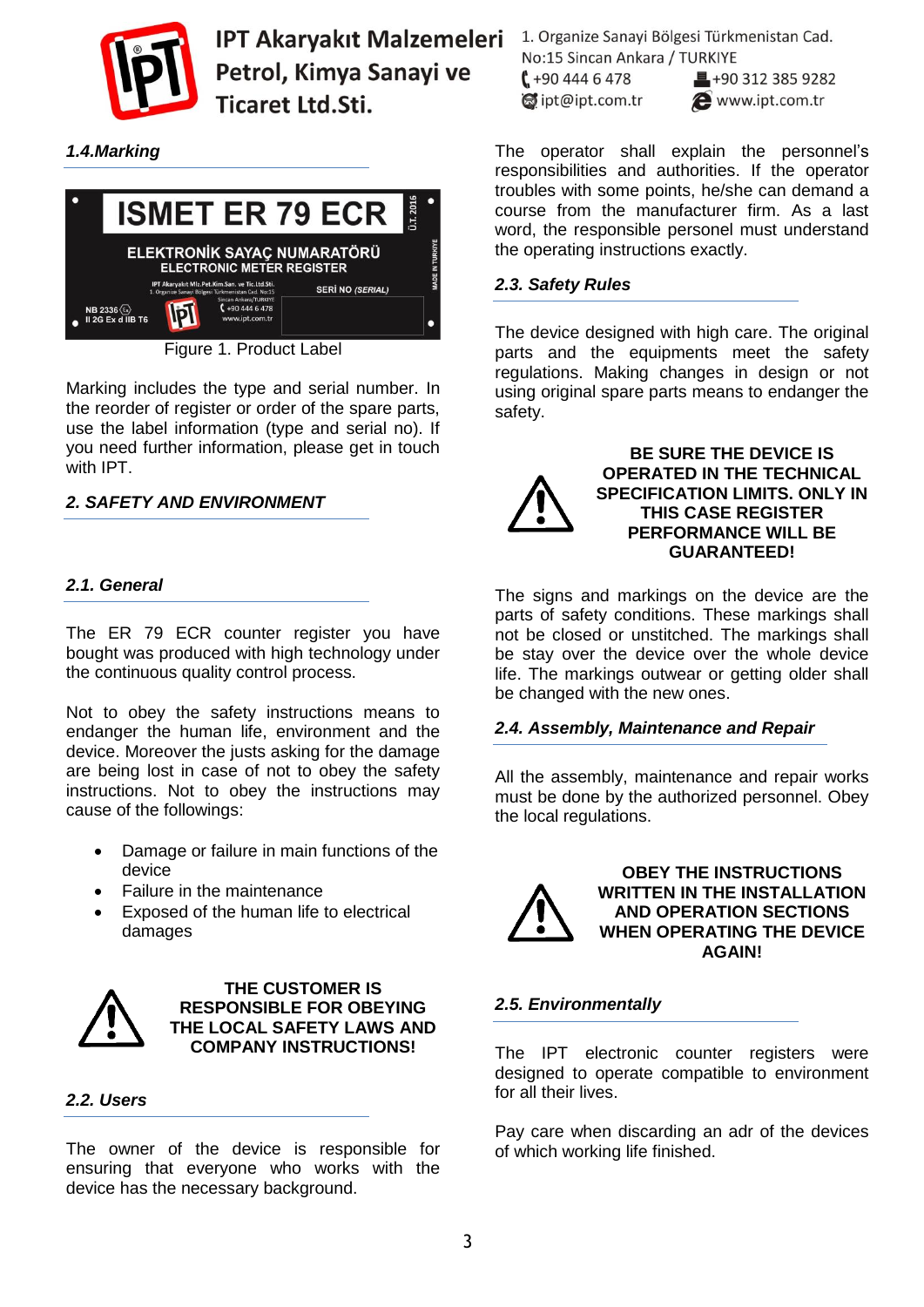

*1.4.Marking*



Figure 1. Product Label

Marking includes the type and serial number. In the reorder of register or order of the spare parts, use the label information (type and serial no). If you need further information, please get in touch with IPT.

#### *2. SAFETY AND ENVIRONMENT*

#### *2.1. General*

The ER 79 ECR counter register you have bought was produced with high technology under the continuous quality control process.

Not to obey the safety instructions means to endanger the human life, environment and the device. Moreover the justs asking for the damage are being lost in case of not to obey the safety instructions. Not to obey the instructions may cause of the followings:

- Damage or failure in main functions of the device
- Failure in the maintenance
- Exposed of the human life to electrical damages



**THE CUSTOMER IS RESPONSIBLE FOR OBEYING THE LOCAL SAFETY LAWS AND COMPANY INSTRUCTIONS!**

#### *2.2. Users*

The owner of the device is responsible for ensuring that everyone who works with the device has the necessary background.

1. Organize Sanayi Bölgesi Türkmenistan Cad. No:15 Sincan Ankara / TURKIYE  $1 + 904446478$  $\equiv$  +90 312 385 9282

dipt@ipt.com.tr

www.ipt.com.tr

The operator shall explain the personnel's responsibilities and authorities. If the operator troubles with some points, he/she can demand a course from the manufacturer firm. As a last word, the responsible personel must understand the operating instructions exactly.

#### *2.3. Safety Rules*

The device designed with high care. The original parts and the equipments meet the safety regulations. Making changes in design or not using original spare parts means to endanger the safety.



**BE SURE THE DEVICE IS OPERATED IN THE TECHNICAL SPECIFICATION LIMITS. ONLY IN THIS CASE REGISTER PERFORMANCE WILL BE GUARANTEED!**

The signs and markings on the device are the parts of safety conditions. These markings shall not be closed or unstitched. The markings shall be stay over the device over the whole device life. The markings outwear or getting older shall be changed with the new ones.

#### *2.4. Assembly, Maintenance and Repair*

All the assembly, maintenance and repair works must be done by the authorized personnel. Obey the local regulations.



**OBEY THE INSTRUCTIONS WRITTEN IN THE INSTALLATION AND OPERATION SECTIONS WHEN OPERATING THE DEVICE AGAIN!**

#### *2.5. Environmentally*

The IPT electronic counter registers were designed to operate compatible to environment for all their lives.

Pay care when discarding an adr of the devices of which working life finished.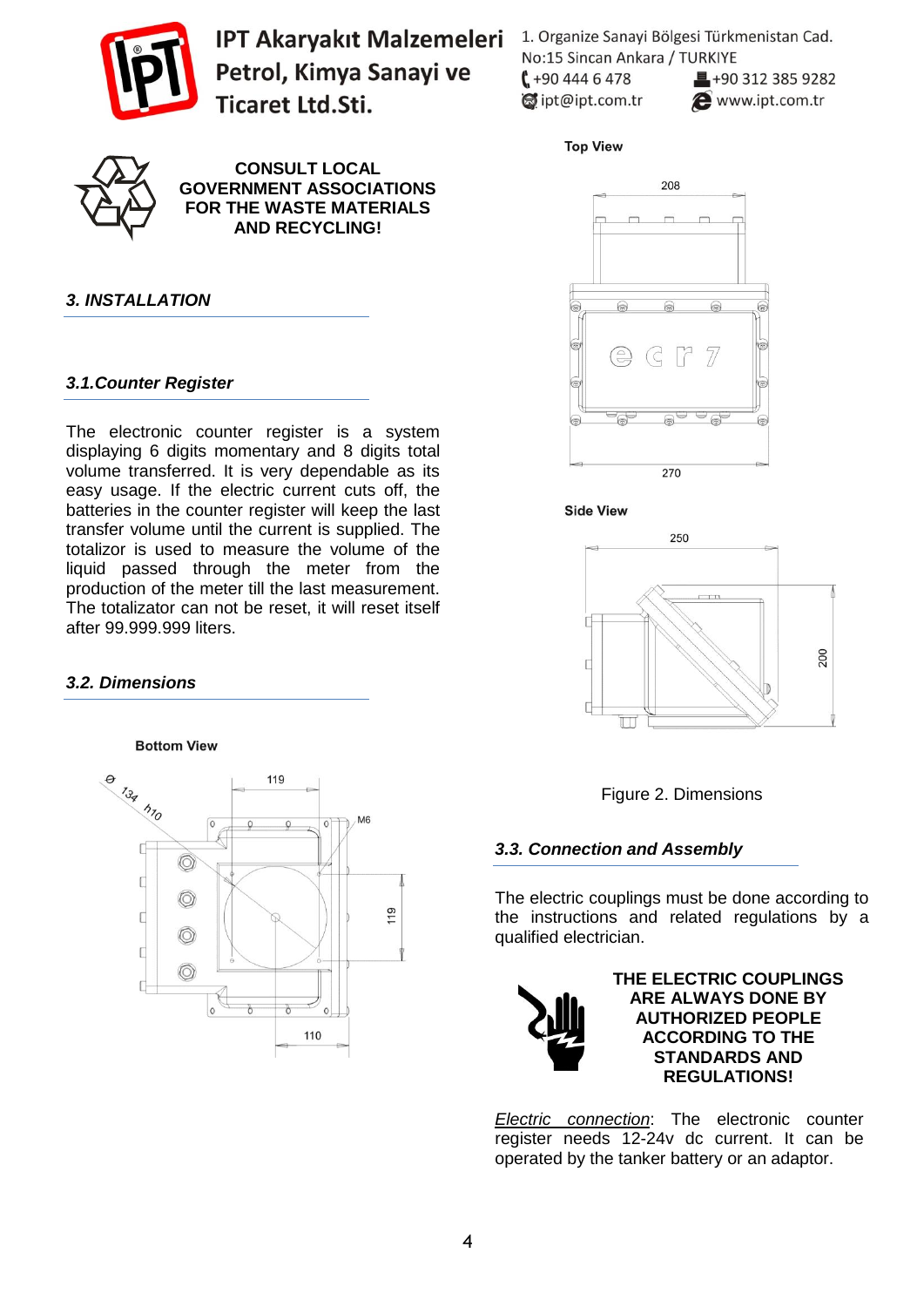

**CONSULT LOCAL GOVERNMENT ASSOCIATIONS FOR THE WASTE MATERIALS AND RECYCLING!**

## *3. INSTALLATION*

#### *3.1.Counter Register*

The electronic counter register is a system displaying 6 digits momentary and 8 digits total volume transferred. It is very dependable as its easy usage. If the electric current cuts off, the batteries in the counter register will keep the last transfer volume until the current is supplied. The totalizor is used to measure the volume of the liquid passed through the meter from the production of the meter till the last measurement. The totalizator can not be reset, it will reset itself after 99.999.999 liters.

#### *3.2. Dimensions*

**Bottom View** 



1. Organize Sanayi Bölgesi Türkmenistan Cad. No:15 Sincan Ankara / TURKIYE  $1 + 904446478$  $\blacksquare$ +90 312 385 9282 dipt@ipt.com.tr www.ipt.com.tr

**Top View** 









#### *3.3. Connection and Assembly*

The electric couplings must be done according to the instructions and related regulations by a qualified electrician.



**THE ELECTRIC COUPLINGS ARE ALWAYS DONE BY AUTHORIZED PEOPLE ACCORDING TO THE STANDARDS AND REGULATIONS!**

*Electric connection*: The electronic counter register needs 12-24v dc current. It can be operated by the tanker battery or an adaptor.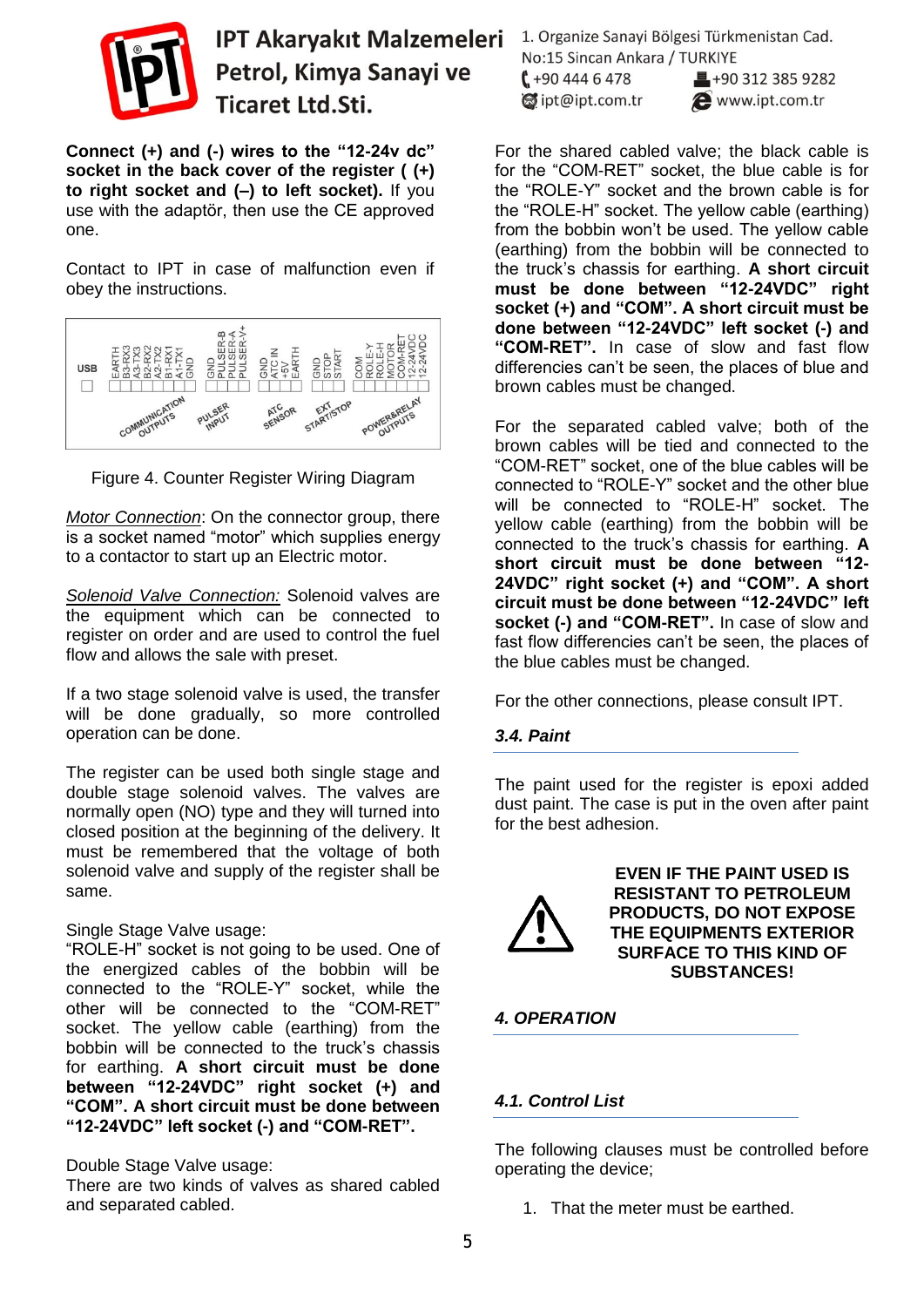

**Connect (+) and (-) wires to the "12-24v dc" socket in the back cover of the register ( (+) to right socket and (–) to left socket).** If you use with the adaptör, then use the CE approved one.

Contact to IPT in case of malfunction even if obey the instructions.



Figure 4. Counter Register Wiring Diagram

*Motor Connection*: On the connector group, there is a socket named "motor" which supplies energy to a contactor to start up an Electric motor.

*Solenoid Valve Connection:* Solenoid valves are the equipment which can be connected to register on order and are used to control the fuel flow and allows the sale with preset.

If a two stage solenoid valve is used, the transfer will be done gradually, so more controlled operation can be done.

The register can be used both single stage and double stage solenoid valves. The valves are normally open (NO) type and they will turned into closed position at the beginning of the delivery. It must be remembered that the voltage of both solenoid valve and supply of the register shall be same.

#### Single Stage Valve usage:

"ROLE-H" socket is not going to be used. One of the energized cables of the bobbin will be connected to the "ROLE-Y" socket, while the other will be connected to the "COM-RET" socket. The yellow cable (earthing) from the bobbin will be connected to the truck's chassis for earthing. **A short circuit must be done between "12-24VDC" right socket (+) and "COM". A short circuit must be done between "12-24VDC" left socket (-) and "COM-RET".** 

#### Double Stage Valve usage:

There are two kinds of valves as shared cabled and separated cabled.

1. Organize Sanayi Bölgesi Türkmenistan Cad. No:15 Sincan Ankara / TURKIYE  $1 + 904446478$  $\blacksquare$ +90 312 385 9282  $\otimes$  ipt@ipt.com.tr www.ipt.com.tr

For the shared cabled valve; the black cable is for the "COM-RET" socket, the blue cable is for the "ROLE-Y" socket and the brown cable is for the "ROLE-H" socket. The yellow cable (earthing) from the bobbin won't be used. The yellow cable (earthing) from the bobbin will be connected to the truck's chassis for earthing. **A short circuit must be done between "12-24VDC" right socket (+) and "COM". A short circuit must be done between "12-24VDC" left socket (-) and "COM-RET".** In case of slow and fast flow differencies can't be seen, the places of blue and brown cables must be changed.

For the separated cabled valve; both of the brown cables will be tied and connected to the "COM-RET" socket, one of the blue cables will be connected to "ROLE-Y" socket and the other blue will be connected to "ROLE-H" socket. The yellow cable (earthing) from the bobbin will be connected to the truck's chassis for earthing. **A short circuit must be done between "12- 24VDC" right socket (+) and "COM". A short circuit must be done between "12-24VDC" left socket (-) and "COM-RET".** In case of slow and fast flow differencies can't be seen, the places of the blue cables must be changed.

For the other connections, please consult IPT.

#### *3.4. Paint*

The paint used for the register is epoxi added dust paint. The case is put in the oven after paint for the best adhesion.



**EVEN IF THE PAINT USED IS RESISTANT TO PETROLEUM PRODUCTS, DO NOT EXPOSE THE EQUIPMENTS EXTERIOR SURFACE TO THIS KIND OF SUBSTANCES!**

#### *4. OPERATION*

#### *4.1. Control List*

The following clauses must be controlled before operating the device;

1. That the meter must be earthed.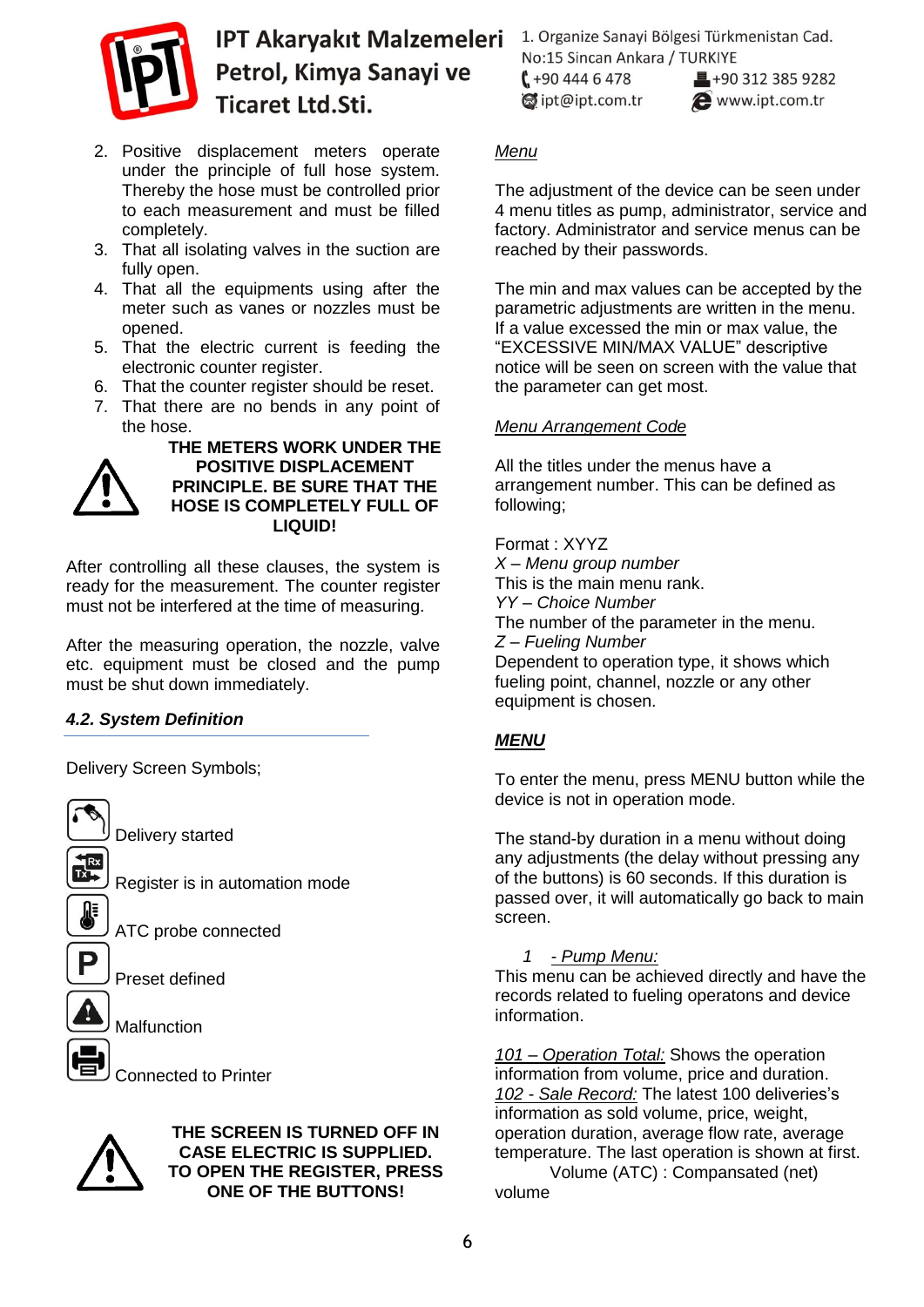

- 2. Positive displacement meters operate under the principle of full hose system. Thereby the hose must be controlled prior to each measurement and must be filled completely.
- 3. That all isolating valves in the suction are fully open.
- 4. That all the equipments using after the meter such as vanes or nozzles must be opened.
- 5. That the electric current is feeding the electronic counter register.
- 6. That the counter register should be reset.
- 7. That there are no bends in any point of the hose.



**THE METERS WORK UNDER THE POSITIVE DISPLACEMENT PRINCIPLE. BE SURE THAT THE HOSE IS COMPLETELY FULL OF LIQUID!**

After controlling all these clauses, the system is ready for the measurement. The counter register must not be interfered at the time of measuring.

After the measuring operation, the nozzle, valve etc. equipment must be closed and the pump must be shut down immediately.

# *4.2. System Definition*

Delivery Screen Symbols;



Delivery started

ATC probe connected

Preset defined

**Malfunction** 

Connected to Printer



#### **THE SCREEN IS TURNED OFF IN CASE ELECTRIC IS SUPPLIED. TO OPEN THE REGISTER, PRESS ONE OF THE BUTTONS!**

1. Organize Sanayi Bölgesi Türkmenistan Cad. No:15 Sincan Ankara / TURKIYE  $1 + 904446478$  $\blacksquare$ +90 312 385 9282 dipt@ipt.com.tr www.ipt.com.tr

# *Menu*

The adjustment of the device can be seen under 4 menu titles as pump, administrator, service and factory. Administrator and service menus can be reached by their passwords.

The min and max values can be accepted by the parametric adjustments are written in the menu. If a value excessed the min or max value, the "EXCESSIVE MIN/MAX VALUE" descriptive notice will be seen on screen with the value that the parameter can get most.

## *Menu Arrangement Code*

All the titles under the menus have a arrangement number. This can be defined as following;

Format : XYYZ *X – Menu group number* This is the main menu rank. *YY – Choice Number* The number of the parameter in the menu. *Z – Fueling Number* Dependent to operation type, it shows which fueling point, channel, nozzle or any other equipment is chosen.

# *MENU*

To enter the menu, press MENU button while the device is not in operation mode.

The stand-by duration in a menu without doing any adjustments (the delay without pressing any of the buttons) is 60 seconds. If this duration is passed over, it will automatically go back to main screen.

# *1 - Pump Menu:*

This menu can be achieved directly and have the records related to fueling operatons and device information.

*101 – Operation Total:* Shows the operation information from volume, price and duration. *102 - Sale Record:* The latest 100 deliveries's information as sold volume, price, weight, operation duration, average flow rate, average temperature. The last operation is shown at first. Volume (ATC) : Compansated (net) volume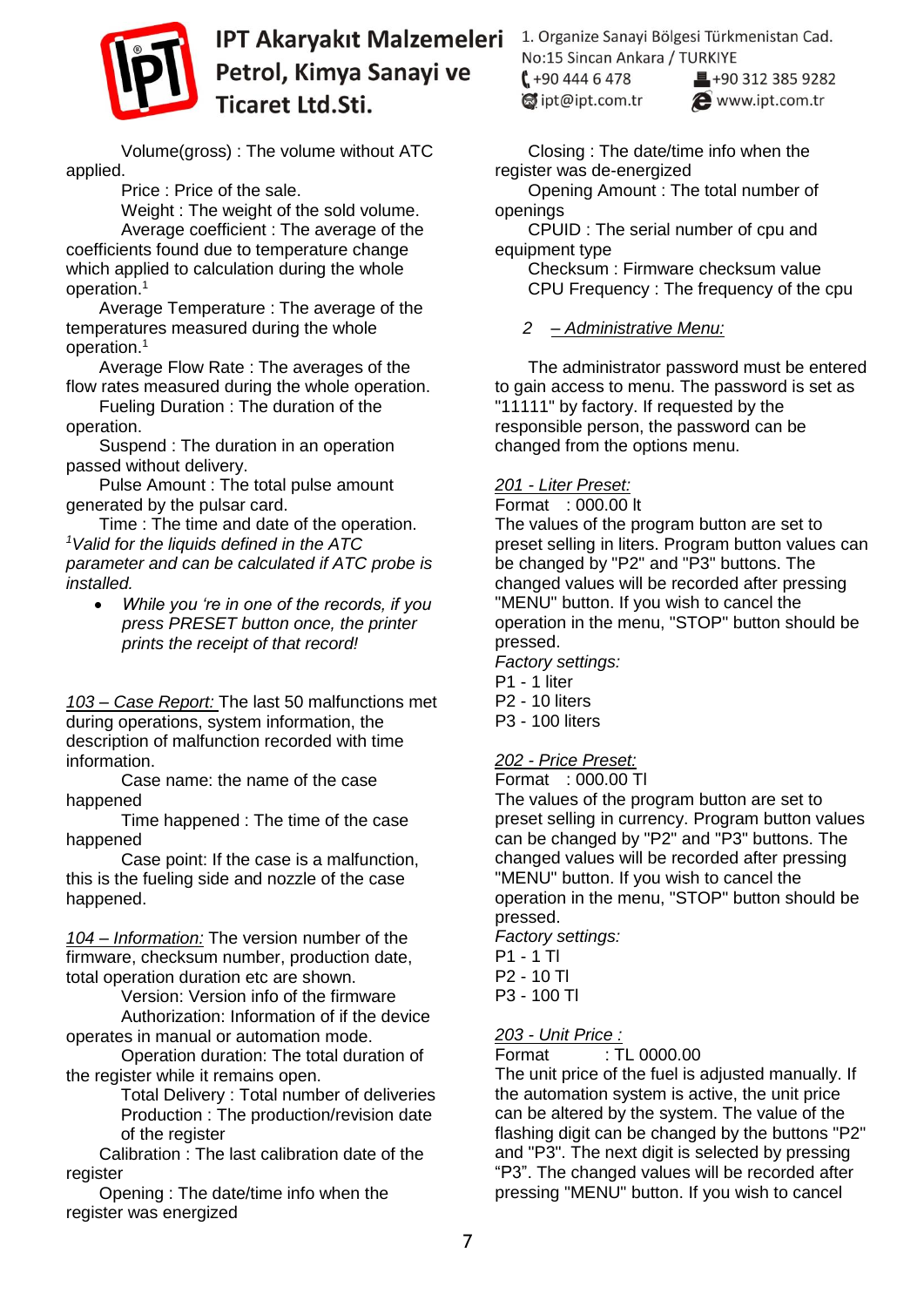

Volume(gross) : The volume without ATC applied.

Price : Price of the sale.

Weight : The weight of the sold volume. Average coefficient : The average of the coefficients found due to temperature change which applied to calculation during the whole operation.<sup>1</sup>

Average Temperature : The average of the temperatures measured during the whole operation.<sup>1</sup>

Average Flow Rate : The averages of the flow rates measured during the whole operation.

Fueling Duration : The duration of the operation.

Suspend : The duration in an operation passed without delivery.

Pulse Amount : The total pulse amount generated by the pulsar card.

Time : The time and date of the operation. *<sup>1</sup>Valid for the liquids defined in the ATC parameter and can be calculated if ATC probe is installed.*

 *While you 're in one of the records, if you press PRESET button once, the printer prints the receipt of that record!* 

*103 – Case Report:* The last 50 malfunctions met during operations, system information, the description of malfunction recorded with time information.

Case name: the name of the case happened

Time happened : The time of the case happened

Case point: If the case is a malfunction, this is the fueling side and nozzle of the case happened.

*104 – Information:* The version number of the firmware, checksum number, production date, total operation duration etc are shown.

Version: Version info of the firmware Authorization: Information of if the device operates in manual or automation mode.

Operation duration: The total duration of the register while it remains open.

Total Delivery : Total number of deliveries Production : The production/revision date of the register

Calibration : The last calibration date of the register

Opening : The date/time info when the register was energized

1. Organize Sanayi Bölgesi Türkmenistan Cad. No:15 Sincan Ankara / TURKIYE

 $1 + 904446478$ dipt@ipt.com.tr

 $\blacksquare$ +90 312 385 9282 www.ipt.com.tr

Closing : The date/time info when the register was de-energized

Opening Amount : The total number of openings

CPUID : The serial number of cpu and equipment type

Checksum : Firmware checksum value CPU Frequency : The frequency of the cpu

## *2 – Administrative Menu:*

The administrator password must be entered to gain access to menu. The password is set as "11111" by factory. If requested by the responsible person, the password can be changed from the options menu.

#### *201 - Liter Preset:*

Format : 000.00 lt

The values of the program button are set to preset selling in liters. Program button values can be changed by "P2" and "P3" buttons. The changed values will be recorded after pressing "MENU" button. If you wish to cancel the operation in the menu, "STOP" button should be pressed.

*Factory settings:* P1 - 1 liter P2 - 10 liters P3 - 100 liters

# *202 - Price Preset:*

Format : 000.00 Tl

The values of the program button are set to preset selling in currency. Program button values can be changed by "P2" and "P3" buttons. The changed values will be recorded after pressing "MENU" button. If you wish to cancel the operation in the menu, "STOP" button should be pressed.

*Factory settings:*

P1 - 1 Tl P2 - 10 Tl P3 - 100 Tl

*203 - Unit Price :*

Format : TL 0000.00

The unit price of the fuel is adjusted manually. If the automation system is active, the unit price can be altered by the system. The value of the flashing digit can be changed by the buttons "P2" and "P3". The next digit is selected by pressing "P3". The changed values will be recorded after pressing "MENU" button. If you wish to cancel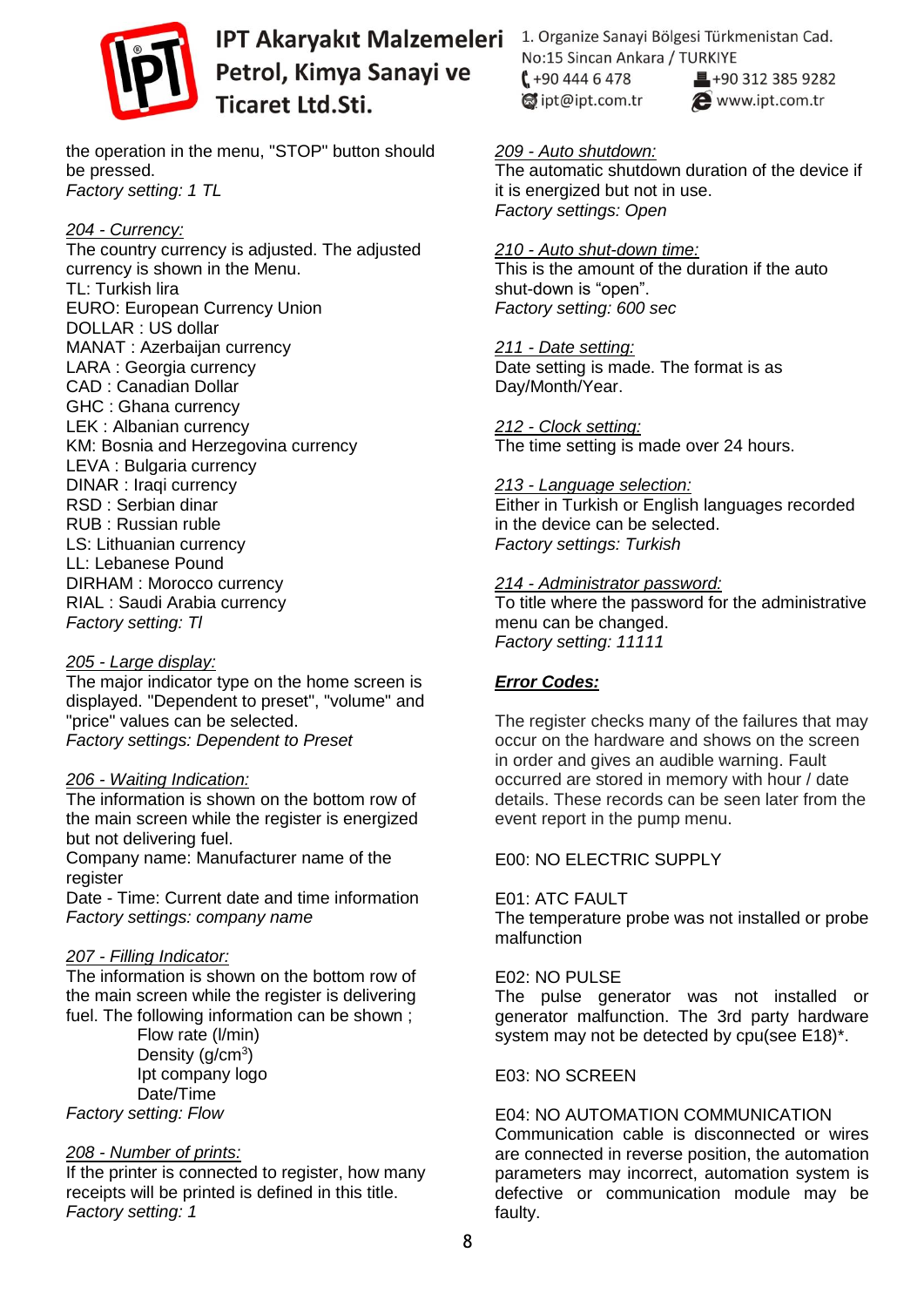

the operation in the menu, "STOP" button should be pressed. *Factory setting: 1 TL*

#### *204 - Currency:*

The country currency is adjusted. The adjusted currency is shown in the Menu. TL: Turkish lira EURO: European Currency Union DOLLAR : US dollar MANAT : Azerbaijan currency LARA : Georgia currency CAD : Canadian Dollar GHC : Ghana currency LEK : Albanian currency KM: Bosnia and Herzegovina currency LEVA : Bulgaria currency DINAR : Iraqi currency RSD : Serbian dinar RUB : Russian ruble LS: Lithuanian currency LL: Lebanese Pound DIRHAM : Morocco currency RIAL : Saudi Arabia currency *Factory setting: Tl*

#### *205 - Large display:*

The major indicator type on the home screen is displayed. "Dependent to preset", "volume" and "price" values can be selected. *Factory settings: Dependent to Preset*

#### *206 - Waiting Indication:*

The information is shown on the bottom row of the main screen while the register is energized but not delivering fuel.

Company name: Manufacturer name of the register

Date - Time: Current date and time information *Factory settings: company name*

#### *207 - Filling Indicator:*

The information is shown on the bottom row of the main screen while the register is delivering fuel. The following information can be shown ;

Flow rate (l/min) Density ( $g/cm<sup>3</sup>$ ) Ipt company logo Date/Time *Factory setting: Flow*

#### *208 - Number of prints:*

If the printer is connected to register, how many receipts will be printed is defined in this title. *Factory setting: 1*

1. Organize Sanayi Bölgesi Türkmenistan Cad. No:15 Sincan Ankara / TURKIYE  $1 + 904446478$ ■+90 312 385 9282 dipt@ipt.com.tr www.ipt.com.tr

# *209 - Auto shutdown:*

The automatic shutdown duration of the device if it is energized but not in use. *Factory settings: Open*

#### *210 - Auto shut-down time:*

This is the amount of the duration if the auto shut-down is "open". *Factory setting: 600 sec*

*211 - Date setting:*

Date setting is made. The format is as Day/Month/Year.

*212 - Clock setting:*

The time setting is made over 24 hours.

#### *213 - Language selection:*

Either in Turkish or English languages recorded in the device can be selected. *Factory settings: Turkish* 

#### *214 - Administrator password:*

To title where the password for the administrative menu can be changed. *Factory setting: 11111*

#### *Error Codes:*

The register checks many of the failures that may occur on the hardware and shows on the screen in order and gives an audible warning. Fault occurred are stored in memory with hour / date details. These records can be seen later from the event report in the pump menu.

#### E00: NO ELECTRIC SUPPLY

E01: ATC FAULT The temperature probe was not installed or probe malfunction

E02: NO PULSE

The pulse generator was not installed or generator malfunction. The 3rd party hardware system may not be detected by cpu(see E18)\*.

E03: NO SCREEN

#### E04: NO AUTOMATION COMMUNICATION

Communication cable is disconnected or wires are connected in reverse position, the automation parameters may incorrect, automation system is defective or communication module may be faulty.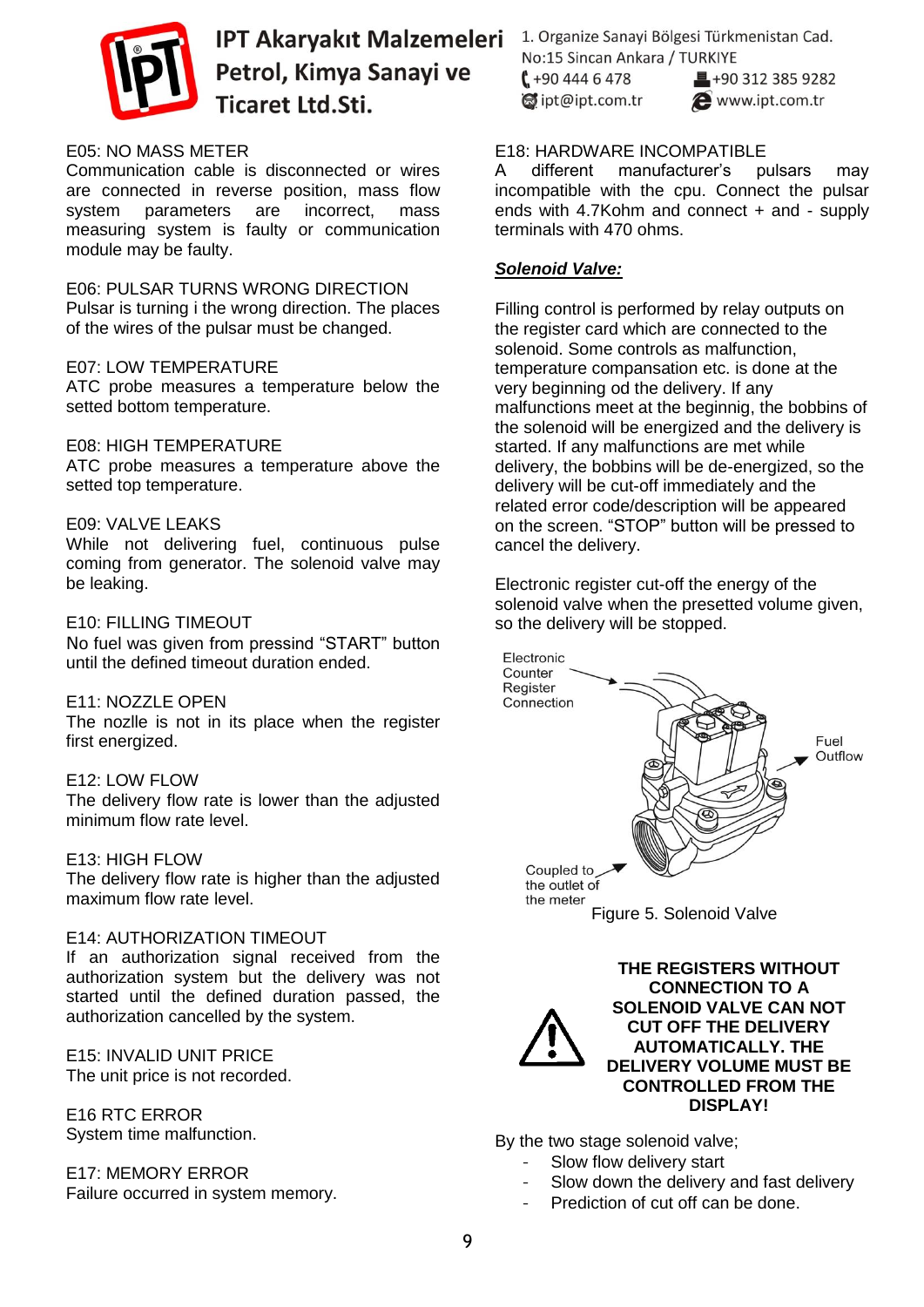

#### E05: NO MASS METER

Communication cable is disconnected or wires are connected in reverse position, mass flow system parameters are incorrect, mass measuring system is faulty or communication module may be faulty.

E06: PULSAR TURNS WRONG DIRECTION Pulsar is turning i the wrong direction. The places of the wires of the pulsar must be changed.

#### E07: LOW TEMPERATURE

ATC probe measures a temperature below the setted bottom temperature.

#### E08: HIGH TEMPERATURE

ATC probe measures a temperature above the setted top temperature.

#### E09: VALVE LEAKS

While not delivering fuel, continuous pulse coming from generator. The solenoid valve may be leaking.

#### E10: FILLING TIMEOUT

No fuel was given from pressind "START" button until the defined timeout duration ended.

#### E11: NOZZLE OPEN

The nozlle is not in its place when the register first energized.

#### E12: LOW FLOW

The delivery flow rate is lower than the adjusted minimum flow rate level.

#### E13: HIGH FLOW

The delivery flow rate is higher than the adjusted maximum flow rate level.

#### E14: AUTHORIZATION TIMEOUT

If an authorization signal received from the authorization system but the delivery was not started until the defined duration passed, the authorization cancelled by the system.

E15: INVALID UNIT PRICE The unit price is not recorded.

E16 RTC ERROR System time malfunction.

E17: MEMORY ERROR Failure occurred in system memory. 1. Organize Sanayi Bölgesi Türkmenistan Cad. No:15 Sincan Ankara / TURKIYE  $1 + 904446478$  $\blacksquare$ +90 312 385 9282

dipt@ipt.com.tr

www.ipt.com.tr

#### E18: HARDWARE INCOMPATIBLE

A different manufacturer's pulsars may incompatible with the cpu. Connect the pulsar ends with 4.7Kohm and connect + and - supply terminals with 470 ohms.

#### *Solenoid Valve:*

Filling control is performed by relay outputs on the register card which are connected to the solenoid. Some controls as malfunction, temperature compansation etc. is done at the very beginning od the delivery. If any malfunctions meet at the beginnig, the bobbins of the solenoid will be energized and the delivery is started. If any malfunctions are met while delivery, the bobbins will be de-energized, so the delivery will be cut-off immediately and the related error code/description will be appeared on the screen. "STOP" button will be pressed to cancel the delivery.

Electronic register cut-off the energy of the solenoid valve when the presetted volume given, so the delivery will be stopped.





By the two stage solenoid valve;

- Slow flow delivery start
- Slow down the delivery and fast delivery
- Prediction of cut off can be done.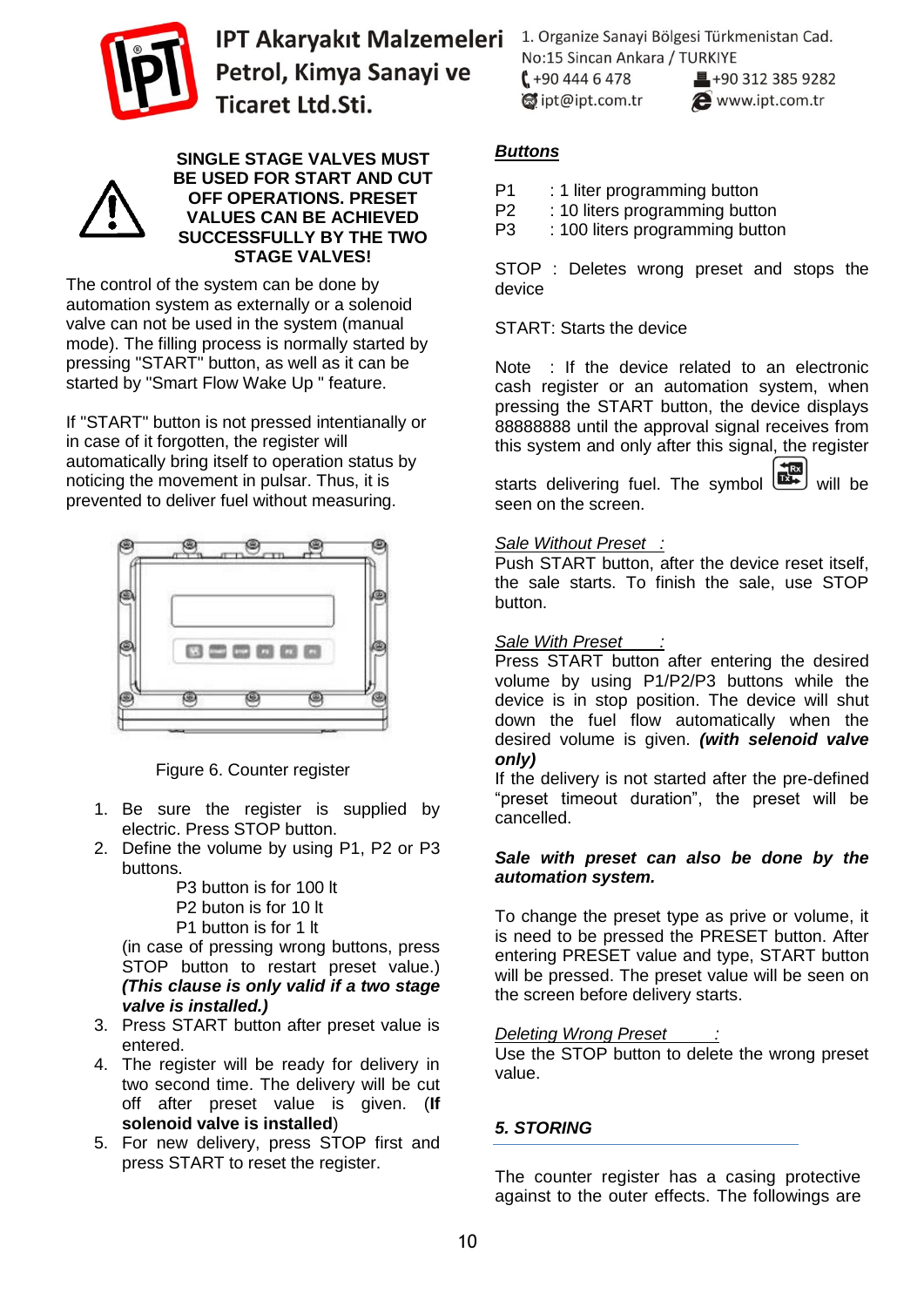



#### **SINGLE STAGE VALVES MUST BE USED FOR START AND CUT OFF OPERATIONS. PRESET VALUES CAN BE ACHIEVED SUCCESSFULLY BY THE TWO STAGE VALVES!**

The control of the system can be done by automation system as externally or a solenoid valve can not be used in the system (manual mode). The filling process is normally started by pressing "START" button, as well as it can be started by "Smart Flow Wake Up " feature.

If "START" button is not pressed intentianally or in case of it forgotten, the register will automatically bring itself to operation status by noticing the movement in pulsar. Thus, it is prevented to deliver fuel without measuring.



Figure 6. Counter register

- 1. Be sure the register is supplied by electric. Press STOP button.
- 2. Define the volume by using P1, P2 or P3 buttons.

P3 button is for 100 lt P2 buton is for 10 lt P1 button is for 1 lt

(in case of pressing wrong buttons, press STOP button to restart preset value.) *(This clause is only valid if a two stage valve is installed.)*

- 3. Press START button after preset value is entered.
- 4. The register will be ready for delivery in two second time. The delivery will be cut off after preset value is given. (**If solenoid valve is installed**)
- 5. For new delivery, press STOP first and press START to reset the register.

1. Organize Sanayi Bölgesi Türkmenistan Cad. No:15 Sincan Ankara / TURKIYE  $1 + 904446478$  $\blacksquare$ +90 312 385 9282 dipt@ipt.com.tr www.ipt.com.tr

# *Buttons*

P1 : 1 liter programming button

P2 : 10 liters programming button

P3 : 100 liters programming button

STOP : Deletes wrong preset and stops the device

START: Starts the device

Note : If the device related to an electronic cash register or an automation system, when pressing the START button, the device displays 88888888 until the approval signal receives from this system and only after this signal, the register

starts delivering fuel. The symbol will be seen on the screen seen on the screen.

#### *Sale Without Preset :*

Push START button, after the device reset itself, the sale starts. To finish the sale, use STOP button.

#### *Sale With Preset :*

Press START button after entering the desired volume by using P1/P2/P3 buttons while the device is in stop position. The device will shut down the fuel flow automatically when the desired volume is given. *(with selenoid valve only)*

If the delivery is not started after the pre-defined "preset timeout duration", the preset will be cancelled.

#### *Sale with preset can also be done by the automation system.*

To change the preset type as prive or volume, it is need to be pressed the PRESET button. After entering PRESET value and type, START button will be pressed. The preset value will be seen on the screen before delivery starts.

#### *Deleting Wrong Preset :*

Use the STOP button to delete the wrong preset value.

# *5. STORING*

The counter register has a casing protective against to the outer effects. The followings are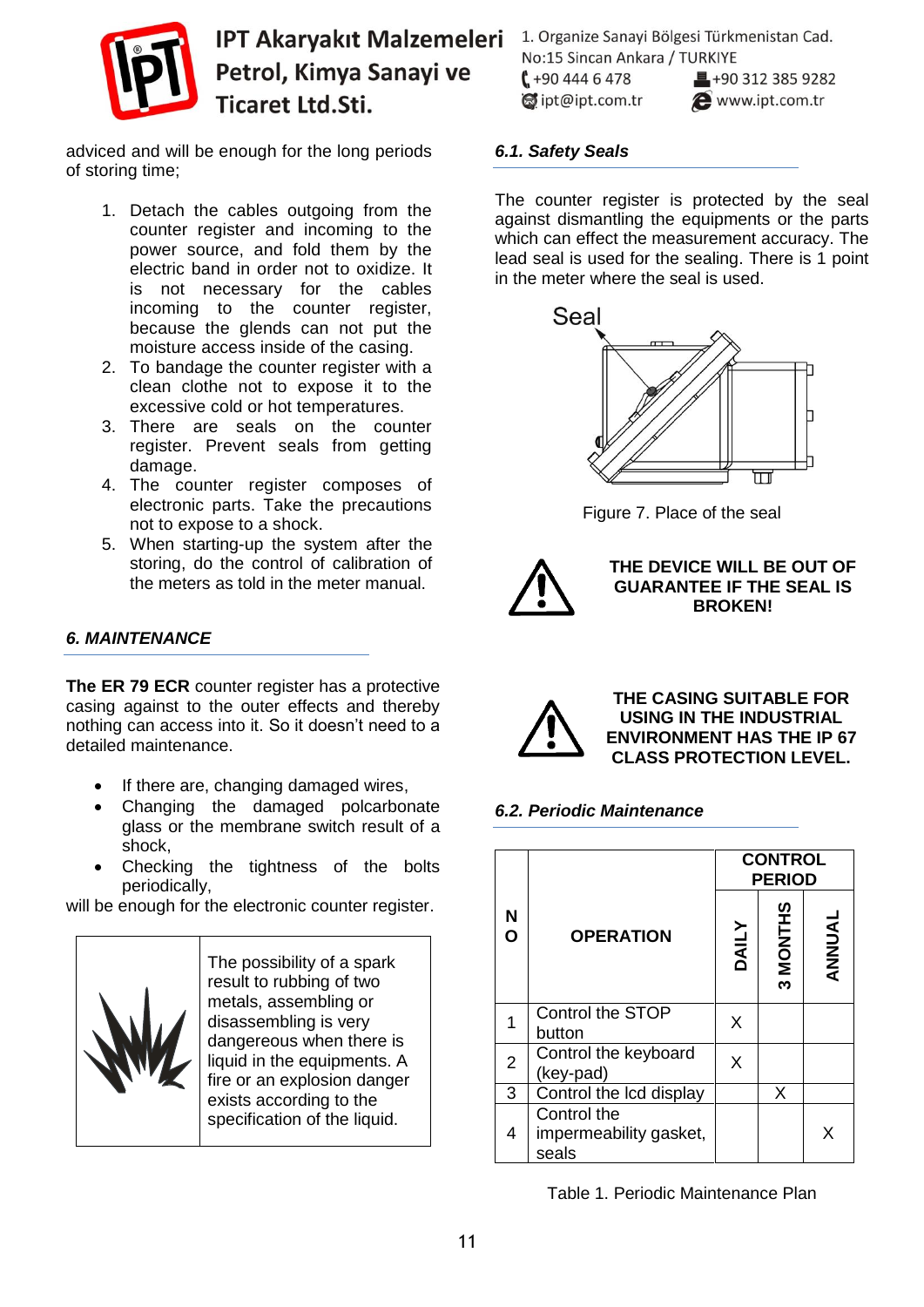

adviced and will be enough for the long periods of storing time;

- 1. Detach the cables outgoing from the counter register and incoming to the power source, and fold them by the electric band in order not to oxidize. It is not necessary for the cables incoming to the counter register, because the glends can not put the moisture access inside of the casing.
- 2. To bandage the counter register with a clean clothe not to expose it to the excessive cold or hot temperatures.
- 3. There are seals on the counter register. Prevent seals from getting damage.
- 4. The counter register composes of electronic parts. Take the precautions not to expose to a shock.
- 5. When starting-up the system after the storing, do the control of calibration of the meters as told in the meter manual.

#### *6. MAINTENANCE*

**The ER 79 ECR** counter register has a protective casing against to the outer effects and thereby nothing can access into it. So it doesn't need to a detailed maintenance.

- If there are, changing damaged wires,
- Changing the damaged polcarbonate glass or the membrane switch result of a shock,
- Checking the tightness of the bolts periodically,

will be enough for the electronic counter register.



The possibility of a spark result to rubbing of two metals, assembling or disassembling is very dangereous when there is liquid in the equipments. A fire or an explosion danger exists according to the specification of the liquid.

1. Organize Sanayi Bölgesi Türkmenistan Cad. No:15 Sincan Ankara / TURKIYE  $1 + 904446478$  $\blacksquare$ +90 312 385 9282 dipt@ipt.com.tr www.ipt.com.tr

*6.1. Safety Seals*

The counter register is protected by the seal against dismantling the equipments or the parts which can effect the measurement accuracy. The lead seal is used for the sealing. There is 1 point in the meter where the seal is used.



Figure 7. Place of the seal



**THE DEVICE WILL BE OUT OF GUARANTEE IF THE SEAL IS BROKEN!**



**THE CASING SUITABLE FOR USING IN THE INDUSTRIAL ENVIRONMENT HAS THE IP 67 CLASS PROTECTION LEVEL.**

#### *6.2. Periodic Maintenance*

|                |                                                | <b>CONTROL</b><br><b>PERIOD</b> |          |        |
|----------------|------------------------------------------------|---------------------------------|----------|--------|
| N<br>Ō         | <b>OPERATION</b>                               | <b>DAILY</b>                    | 3 MONTHS | ANNUAL |
|                | <b>Control the STOP</b><br>button              | X                               |          |        |
| $\overline{2}$ | Control the keyboard<br>(key-pad)              | X                               |          |        |
| 3              | Control the Icd display                        |                                 | X        |        |
| 4              | Control the<br>impermeability gasket,<br>seals |                                 |          | X      |

Table 1. Periodic Maintenance Plan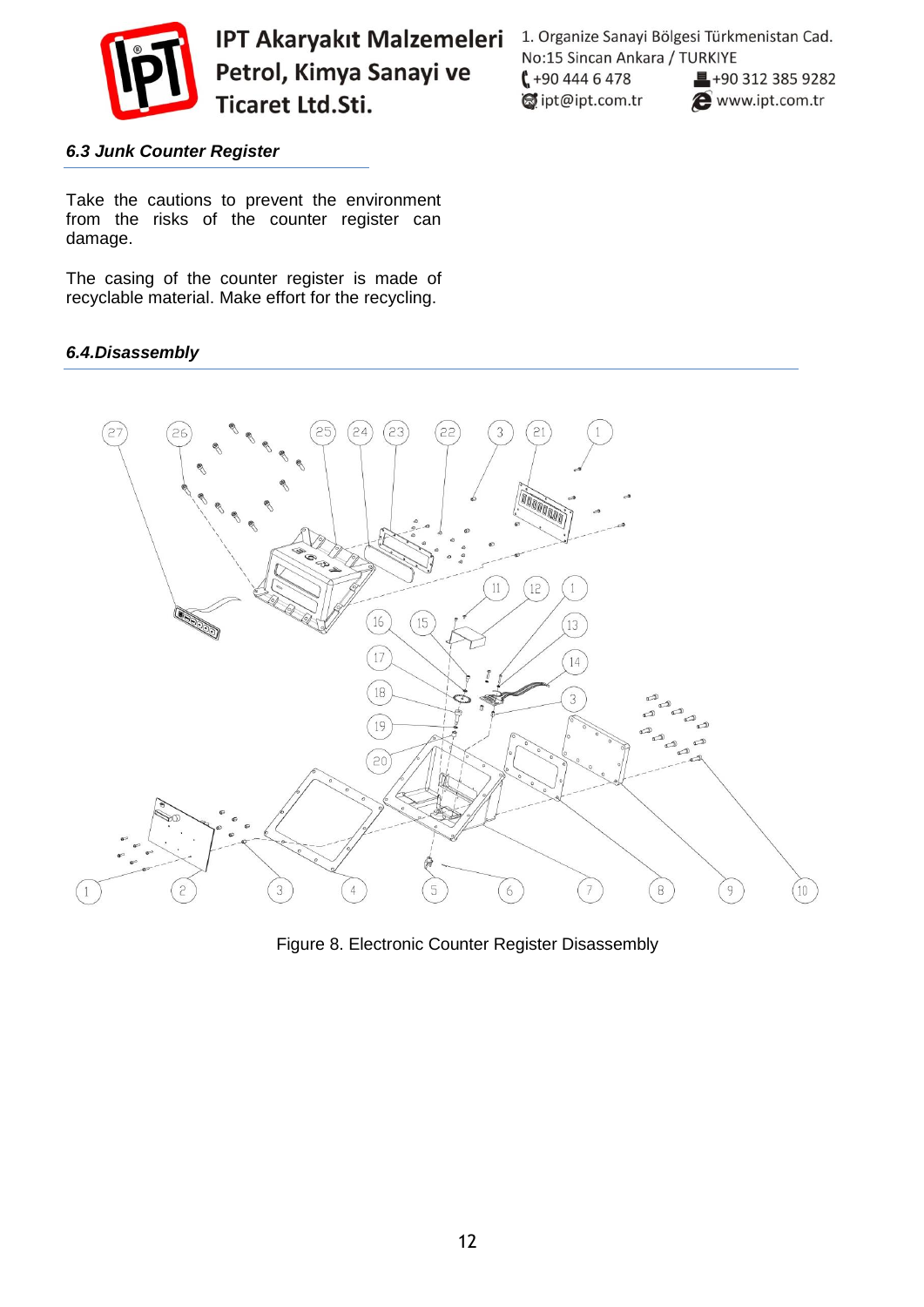

1. Organize Sanayi Bölgesi Türkmenistan Cad. No:15 Sincan Ankara / TURKIYE  $1 + 904446478$  $\blacksquare$ +90 312 385 9282 dipt@ipt.com.tr www.ipt.com.tr

#### *6.3 Junk Counter Register*

Take the cautions to prevent the environment from the risks of the counter register can damage.

The casing of the counter register is made of recyclable material. Make effort for the recycling.

#### *6.4.Disassembly*



Figure 8. Electronic Counter Register Disassembly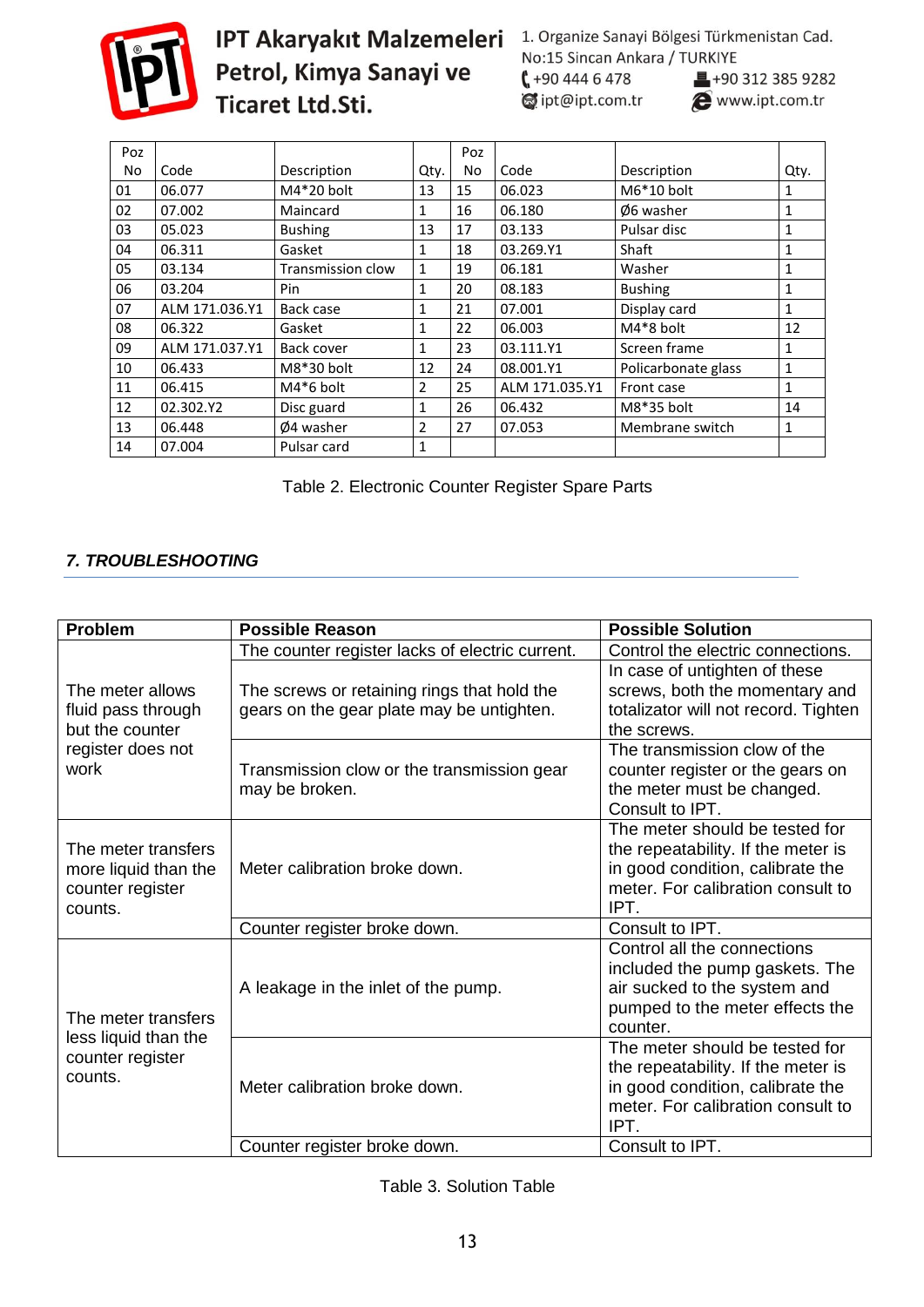

# **IPT Akaryakıt Malzemeleri** 1. Organize Sanayi Bölgesi Türkmenistan Cad.<br> **Petrol, Kimya Sanayi ve (**+90 444 6 478 10312 385 9282<br> **Ticaret Ltd.Sti.** (approximately 100 112 385 9282

■+90 312 385 9282

| Poz |                |                          |                | Poz |                |                      |      |
|-----|----------------|--------------------------|----------------|-----|----------------|----------------------|------|
| No. | Code           | Description              | Qty.           | No  | Code           | Description          | Qty. |
| 01  | 06.077         | $M4*20$ bolt             | 13             | 15  | 06.023         | $M6*10$ bolt         | 1    |
| 02  | 07.002         | Maincard                 | 1              | 16  | 06.180         | $\emptyset$ 6 washer | 1    |
| 03  | 05.023         | <b>Bushing</b>           | 13             | 17  | 03.133         | Pulsar disc          | 1    |
| 04  | 06.311         | Gasket                   | 1              | 18  | 03.269.Y1      | Shaft                |      |
| 05  | 03.134         | <b>Transmission clow</b> | 1              | 19  | 06.181         | Washer               |      |
| 06  | 03.204         | Pin                      | 1              | 20  | 08.183         | <b>Bushing</b>       | 1    |
| 07  | ALM 171.036.Y1 | Back case                | 1              | 21  | 07.001         | Display card         | 1    |
| 08  | 06.322         | Gasket                   | 1              | 22  | 06.003         | $M4*8$ bolt          | 12   |
| 09  | ALM 171.037.Y1 | Back cover               | 1              | 23  | 03.111.Y1      | Screen frame         | 1    |
| 10  | 06.433         | $M8*30$ bolt             | 12             | 24  | 08.001.Y1      | Policarbonate glass  | 1    |
| 11  | 06.415         | $M4*6$ bolt              | $\overline{2}$ | 25  | ALM 171.035.Y1 | Front case           | 1    |
| 12  | 02.302.Y2      | Disc guard               | 1              | 26  | 06.432         | M8*35 bolt           | 14   |
| 13  | 06.448         | Ø4 washer                | 2              | 27  | 07.053         | Membrane switch      | 1    |
| 14  | 07.004         | Pulsar card              | 1              |     |                |                      |      |

|  |  | Table 2. Electronic Counter Register Spare Parts |
|--|--|--------------------------------------------------|
|  |  |                                                  |

# *7. TROUBLESHOOTING*

| <b>Problem</b>                                                                         | <b>Possible Reason</b>                                                                   | <b>Possible Solution</b>                                                                                                                              |
|----------------------------------------------------------------------------------------|------------------------------------------------------------------------------------------|-------------------------------------------------------------------------------------------------------------------------------------------------------|
|                                                                                        | The counter register lacks of electric current.                                          | Control the electric connections.                                                                                                                     |
| The meter allows<br>fluid pass through<br>but the counter<br>register does not<br>work | The screws or retaining rings that hold the<br>gears on the gear plate may be untighten. | In case of untighten of these<br>screws, both the momentary and<br>totalizator will not record. Tighten<br>the screws.                                |
|                                                                                        | Transmission clow or the transmission gear<br>may be broken.                             | The transmission clow of the<br>counter register or the gears on<br>the meter must be changed.<br>Consult to IPT.                                     |
| The meter transfers<br>more liquid than the<br>counter register<br>counts.             | Meter calibration broke down.                                                            | The meter should be tested for<br>the repeatability. If the meter is<br>in good condition, calibrate the<br>meter. For calibration consult to<br>IPT. |
|                                                                                        | Counter register broke down.                                                             | Consult to IPT.                                                                                                                                       |
| The meter transfers<br>less liquid than the<br>counter register<br>counts.             | A leakage in the inlet of the pump.                                                      | Control all the connections<br>included the pump gaskets. The<br>air sucked to the system and<br>pumped to the meter effects the<br>counter.          |
|                                                                                        | Meter calibration broke down.                                                            | The meter should be tested for<br>the repeatability. If the meter is<br>in good condition, calibrate the<br>meter. For calibration consult to<br>IPT. |
|                                                                                        | Counter register broke down.                                                             | Consult to IPT.                                                                                                                                       |

Table 3. Solution Table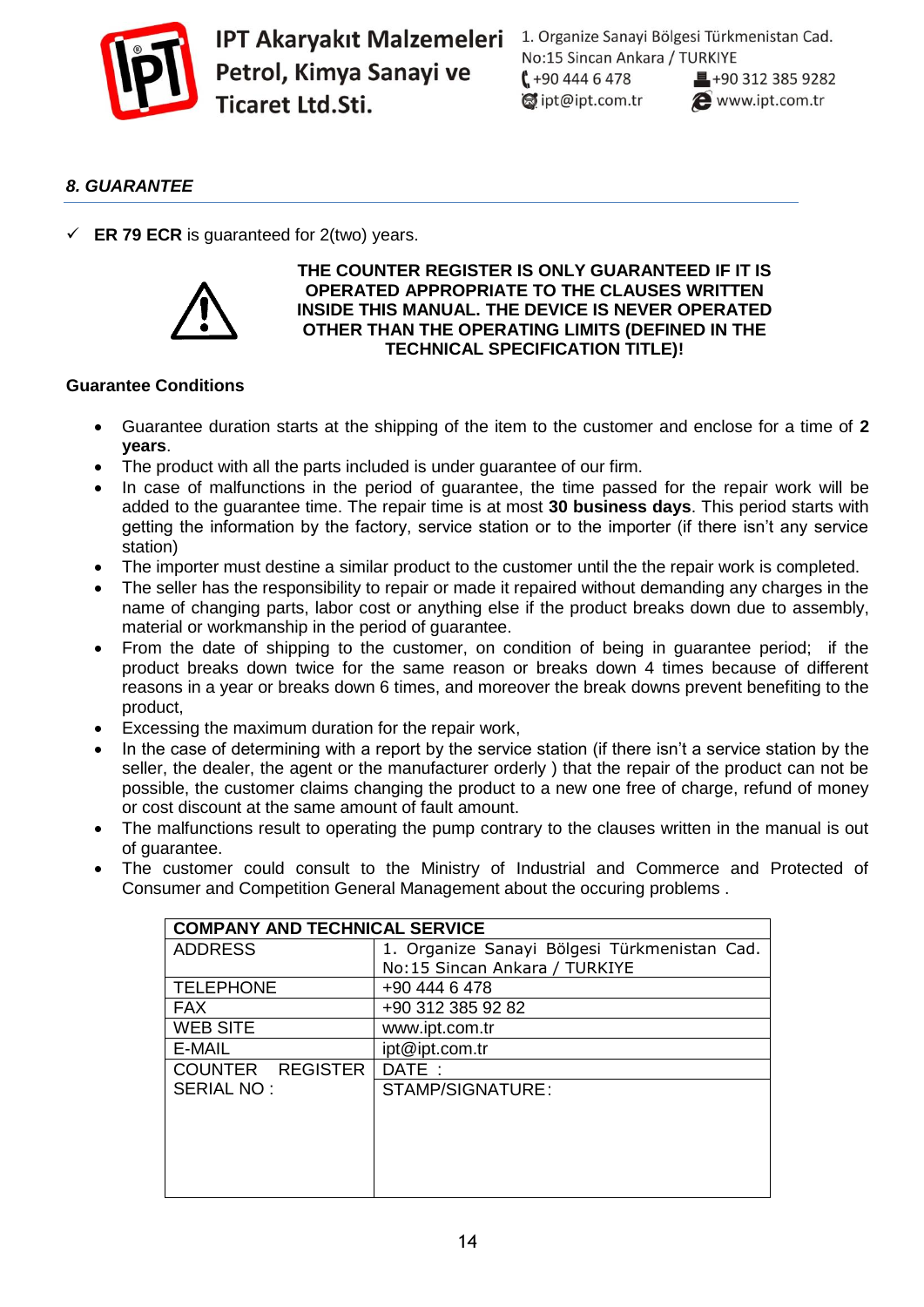

1. Organize Sanayi Bölgesi Türkmenistan Cad. No:15 Sincan Ankara / TURKIYE  $1 + 904446478$  $\blacksquare$ +90 312 385 9282 dipt@ipt.com.tr www.ipt.com.tr

# *8. GUARANTEE*

 $\checkmark$  **ER 79 ECR** is guaranteed for 2(two) years.



#### **THE COUNTER REGISTER IS ONLY GUARANTEED IF IT IS OPERATED APPROPRIATE TO THE CLAUSES WRITTEN INSIDE THIS MANUAL. THE DEVICE IS NEVER OPERATED OTHER THAN THE OPERATING LIMITS (DEFINED IN THE TECHNICAL SPECIFICATION TITLE)!**

#### **Guarantee Conditions**

- Guarantee duration starts at the shipping of the item to the customer and enclose for a time of **2 years**.
- The product with all the parts included is under guarantee of our firm.
- In case of malfunctions in the period of guarantee, the time passed for the repair work will be added to the guarantee time. The repair time is at most **30 business days**. This period starts with getting the information by the factory, service station or to the importer (if there isn't any service station)
- The importer must destine a similar product to the customer until the the repair work is completed.
- The seller has the responsibility to repair or made it repaired without demanding any charges in the name of changing parts, labor cost or anything else if the product breaks down due to assembly, material or workmanship in the period of guarantee.
- From the date of shipping to the customer, on condition of being in guarantee period; if the product breaks down twice for the same reason or breaks down 4 times because of different reasons in a year or breaks down 6 times, and moreover the break downs prevent benefiting to the product,
- Excessing the maximum duration for the repair work,
- In the case of determining with a report by the service station (if there isn't a service station by the seller, the dealer, the agent or the manufacturer orderly ) that the repair of the product can not be possible, the customer claims changing the product to a new one free of charge, refund of money or cost discount at the same amount of fault amount.
- The malfunctions result to operating the pump contrary to the clauses written in the manual is out of guarantee.
- The customer could consult to the Ministry of Industrial and Commerce and Protected of Consumer and Competition General Management about the occuring problems .

| <b>COMPANY AND TECHNICAL SERVICE</b> |                                              |
|--------------------------------------|----------------------------------------------|
| <b>ADDRESS</b>                       | 1. Organize Sanayi Bölgesi Türkmenistan Cad. |
|                                      | No:15 Sincan Ankara / TURKIYE                |
| <b>TELEPHONE</b>                     | +90 444 6 478                                |
| <b>FAX</b>                           | +90 312 385 92 82                            |
| WEB SITE                             | www.ipt.com.tr                               |
| E-MAIL                               | ipt@ipt.com.tr                               |
| COUNTER REGISTER                     | DATE:                                        |
| SERIAL NO:                           | STAMP/SIGNATURE:                             |
|                                      |                                              |
|                                      |                                              |
|                                      |                                              |
|                                      |                                              |
|                                      |                                              |